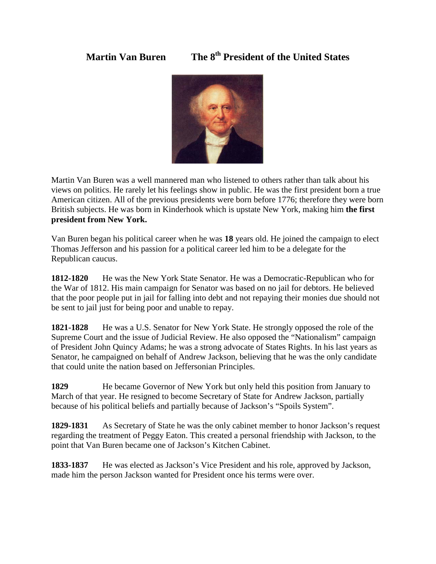**Martin Van Buren The 8th President of the United States**



Martin Van Buren was a well mannered man who listened to others rather than talk about his views on politics. He rarely let his feelings show in public. He was the first president born a true American citizen. All of the previous presidents were born before 1776; therefore they were born British subjects. He was born in Kinderhook which is upstate New York, making him **the first president from New York.** 

Van Buren began his political career when he was **18** years old. He joined the campaign to elect Thomas Jefferson and his passion for a political career led him to be a delegate for the Republican caucus.

**1812-1820** He was the New York State Senator. He was a Democratic-Republican who for the War of 1812. His main campaign for Senator was based on no jail for debtors. He believed that the poor people put in jail for falling into debt and not repaying their monies due should not be sent to jail just for being poor and unable to repay.

**1821-1828** He was a U.S. Senator for New York State. He strongly opposed the role of the Supreme Court and the issue of Judicial Review. He also opposed the "Nationalism" campaign of President John Quincy Adams; he was a strong advocate of States Rights. In his last years as Senator, he campaigned on behalf of Andrew Jackson, believing that he was the only candidate that could unite the nation based on Jeffersonian Principles.

**1829** He became Governor of New York but only held this position from January to March of that year. He resigned to become Secretary of State for Andrew Jackson, partially because of his political beliefs and partially because of Jackson's "Spoils System".

**1829-1831** As Secretary of State he was the only cabinet member to honor Jackson's request regarding the treatment of Peggy Eaton. This created a personal friendship with Jackson, to the point that Van Buren became one of Jackson's Kitchen Cabinet.

**1833-1837** He was elected as Jackson's Vice President and his role, approved by Jackson, made him the person Jackson wanted for President once his terms were over.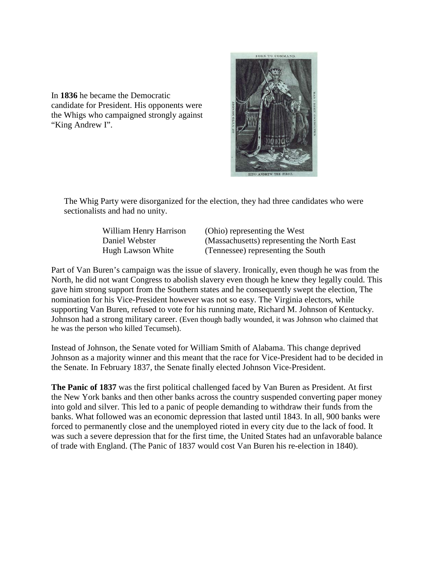In **1836** he became the Democratic candidate for President. His opponents were the Whigs who campaigned strongly against "King Andrew I".



The Whig Party were disorganized for the election, they had three candidates who were sectionalists and had no unity.

William Henry Harrison (Ohio) representing the West Daniel Webster (Massachusetts) representing the North East Hugh Lawson White (Tennessee) representing the South

Part of Van Buren's campaign was the issue of slavery. Ironically, even though he was from the North, he did not want Congress to abolish slavery even though he knew they legally could. This gave him strong support from the Southern states and he consequently swept the election, The nomination for his Vice-President however was not so easy. The Virginia electors, while supporting Van Buren, refused to vote for his running mate, Richard M. Johnson of Kentucky. Johnson had a strong military career. (Even though badly wounded, it was Johnson who claimed that he was the person who killed Tecumseh).

Instead of Johnson, the Senate voted for William Smith of Alabama. This change deprived Johnson as a majority winner and this meant that the race for Vice-President had to be decided in the Senate. In February 1837, the Senate finally elected Johnson Vice-President.

**The Panic of 1837** was the first political challenged faced by Van Buren as President. At first the New York banks and then other banks across the country suspended converting paper money into gold and silver. This led to a panic of people demanding to withdraw their funds from the banks. What followed was an economic depression that lasted until 1843. In all, 900 banks were forced to permanently close and the unemployed rioted in every city due to the lack of food. It was such a severe depression that for the first time, the United States had an unfavorable balance of trade with England. (The Panic of 1837 would cost Van Buren his re-election in 1840).